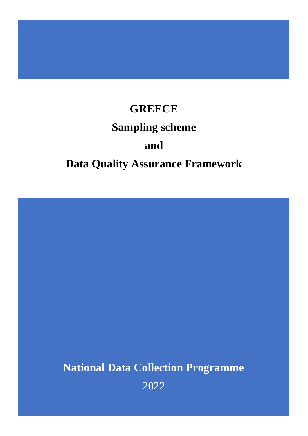# **GREECE Sampling scheme and Data Quality Assurance Framework**

**National Data Collection Programme**

2022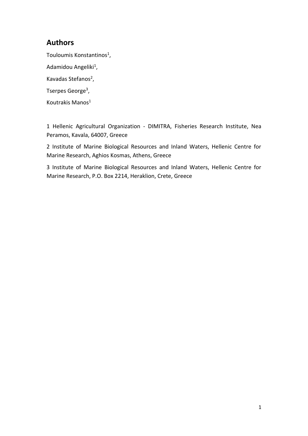# **Authors**

Touloumis Konstantinos<sup>1</sup>,

Adamidou Angeliki<sup>1</sup>,

Kavadas Stefanos<sup>2</sup>,

Tserpes George<sup>3</sup>,

Koutrakis Manos<sup>1</sup>

1 Hellenic Agricultural Organization - DIMITRA, Fisheries Research Institute, Nea Peramos, Kavala, 64007, Greece

2 Institute of Marine Biological Resources and Inland Waters, Hellenic Centre for Marine Research, Aghios Kosmas, Athens, Greece

3 Institute of Marine Biological Resources and Inland Waters, Hellenic Centre for Marine Research, P.O. Box 2214, Heraklion, Crete, Greece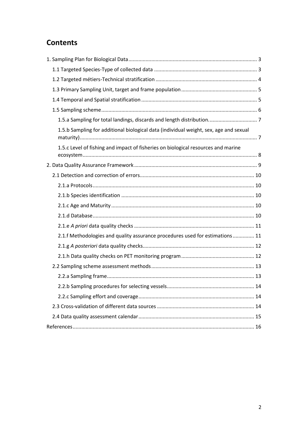# **Contents**

| 1.5.b Sampling for additional biological data (individual weight, sex, age and sexual |    |
|---------------------------------------------------------------------------------------|----|
| 1.5.c Level of fishing and impact of fisheries on biological resources and marine     |    |
|                                                                                       |    |
|                                                                                       |    |
|                                                                                       |    |
|                                                                                       |    |
|                                                                                       |    |
|                                                                                       |    |
|                                                                                       |    |
| 2.1.f Methodologies and quality assurance procedures used for estimations 11          |    |
|                                                                                       |    |
|                                                                                       |    |
|                                                                                       |    |
|                                                                                       |    |
|                                                                                       | 14 |
|                                                                                       |    |
|                                                                                       |    |
|                                                                                       |    |
|                                                                                       |    |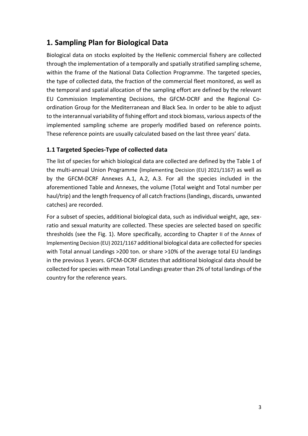# <span id="page-3-0"></span>**1. Sampling Plan for Biological Data**

Biological data on stocks exploited by the Hellenic commercial fishery are collected through the implementation of a temporally and spatially stratified sampling scheme, within the frame of the National Data Collection Programme. The targeted species, the type of collected data, the fraction of the commercial fleet monitored, as well as the temporal and spatial allocation of the sampling effort are defined by the relevant EU Commission Implementing Decisions, the GFCM-DCRF and the Regional Coordination Group for the Mediterranean and Black Sea. In order to be able to adjust to the interannual variability of fishing effort and stock biomass, various aspects of the implemented sampling scheme are properly modified based on reference points. These reference points are usually calculated based on the last three years' data.

## <span id="page-3-1"></span>**1.1 Targeted Species-Type of collected data**

The list of species for which biological data are collected are defined by the Table 1 of the multi-annual Union Programme (Implementing Decision (EU) 2021/1167) as well as by the GFCM-DCRF Annexes A.1, A.2, A.3. For all the species included in the aforementioned Table and Annexes, the volume (Total weight and Total number per haul/trip) and the length frequency of all catch fractions (landings, discards, unwanted catches) are recorded.

For a subset of species, additional biological data, such as individual weight, age, sexratio and sexual maturity are collected. These species are selected based on specific thresholds (see the Fig. 1). More specifically, according to Chapter II of the Annex of Implementing Decision (EU) 2021/1167 additional biological data are collected for species with Total annual Landings >200 ton. or share >10% of the average total EU landings in the previous 3 years. GFCM-DCRF dictates that additional biological data should be collected for species with mean Total Landings greater than 2% of total landings of the country for the reference years.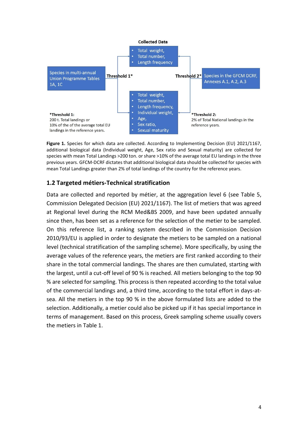

Figure 1. Species for which data are collected. According to Implementing Decision (EU) 2021/1167, additional biological data (Individual weight, Age, Sex ratio and Sexual maturity) are collected for species with mean Total Landings >200 ton. or share >10% of the average total EU landings in the three previous years. GFCM-DCRF dictates that additional biological data should be collected for species with mean Total Landings greater than 2% of total landings of the country for the reference years.

#### <span id="page-4-0"></span>**1.2 Targeted métiers-Technical stratification**

Data are collected and reported by métier, at the aggregation level 6 (see Table 5, Commission Delegated Decision (EU) 2021/1167). The list of metiers that was agreed at Regional level during the RCM Med&BS 2009, and have been updated annually since then, has been set as a reference for the selection of the metier to be sampled. On this reference list, a ranking system described in the Commission Decision 2010/93/EU is applied in order to designate the metiers to be sampled on a national level (technical stratification of the sampling scheme). More specifically, by using the average values of the reference years, the metiers are first ranked according to their share in the total commercial landings. The shares are then cumulated, starting with the largest, until a cut-off level of 90 % is reached. All metiers belonging to the top 90 % are selected for sampling. This process is then repeated according to the total value of the commercial landings and, a third time, according to the total effort in days-atsea. All the metiers in the top 90 % in the above formulated lists are added to the selection. Additionally, a metier could also be picked up if it has special importance in terms of management. Based on this process, Greek sampling scheme usually covers the metiers in Table 1.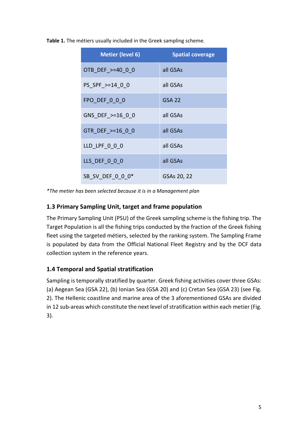**Table 1.** The métiers usually included in the Greek sampling scheme.

| <b>Metier (level 6)</b> | <b>Spatial coverage</b> |
|-------------------------|-------------------------|
| OTB DEF >=40 0 0        | all GSAs                |
| PS SPF >=14 0 0         | all GSAs                |
| FPO DEF 0 0 0           | <b>GSA 22</b>           |
| GNS DEF >=16 0 0        | all GSAs                |
| GTR DEF >=16 0 0        | all GSAs                |
| LLD LPF 0 0 0           | all GSAs                |
| LLS DEF 0 0 0           | all GSAs                |
| SB SV DEF 0 0 0*        | GSAs 20, 22             |

*\*The metier has been selected because it is in a Management plan*

# <span id="page-5-0"></span>**1.3 Primary Sampling Unit, target and frame population**

The Primary Sampling Unit (PSU) of the Greek sampling scheme is the fishing trip. The Target Population is all the fishing trips conducted by the fraction of the Greek fishing fleet using the targeted métiers, selected by the ranking system. The Sampling Frame is populated by data from the Official National Fleet Registry and by the DCF data collection system in the reference years.

# <span id="page-5-1"></span>**1.4 Temporal and Spatial stratification**

Sampling is temporally stratified by quarter. Greek fishing activities cover three GSAs: (a) Aegean Sea (GSA 22), (b) Ionian Sea (GSA 20) and (c) Cretan Sea (GSA 23) (see Fig. 2). The Hellenic coastline and marine area of the 3 aforementioned GSAs are divided in 12 sub-areas which constitute the next level of stratification within each metier (Fig. 3).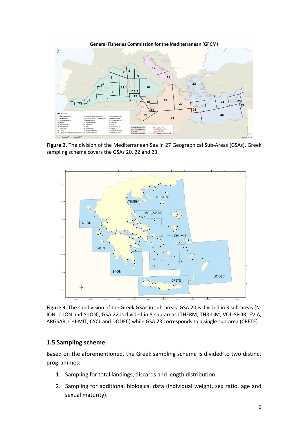

**Figure 2.** The division of the Mediterranean Sea in 27 Geographical Sub-Areas (GSAs). Greek sampling scheme covers the GSAs 20, 22 and 23.



**Figure 3.** The subdivision of the Greek GSAs in sub-areas. GSA 20 is divided in 3 sub-areas (N-ION, C-ION and S-ION), GSA 22 is divided in 8 sub-areas (THERM, THR-LIM, VOL-SPOR, EVIA, ARGSAR, CHI-MIT, CYCL and DODEC) while GSA 23 corresponds to a single sub-area (CRETE).

#### <span id="page-6-0"></span>**1.5 Sampling scheme**

Based on the aforementioned, the Greek sampling scheme is divided to two distinct programmes:

- 1. Sampling for total landings, discards and length distribution.
- 2. Sampling for additional biological data (individual weight, sex ratio, age and sexual maturity).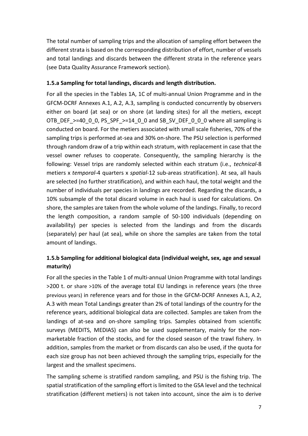The total number of sampling trips and the allocation of sampling effort between the different strata is based on the corresponding distribution of effort, number of vessels and total landings and discards between the different strata in the reference years (see Data Quality Assurance Framework section).

#### <span id="page-7-0"></span>**1.5.a Sampling for total landings, discards and length distribution.**

For all the species in the Tables 1A, 1C of multi-annual Union Programme and in the GFCM-DCRF Annexes A.1, A.2, A.3, sampling is conducted concurrently by observers either on board (at sea) or on shore (at landing sites) for all the metiers, except OTB\_DEF\_>=40\_0\_0, PS\_SPF\_>=14\_0\_0 and SB\_SV\_DEF\_0\_0\_0 where all sampling is conducted on board. For the metiers associated with small scale fisheries, 70% of the sampling trips is performed at-sea and 30% on-shore. The PSU selection is performed through random draw of a trip within each stratum, with replacement in case that the vessel owner refuses to cooperate. Consequently, the sampling hierarchy is the following: Vessel trips are randomly selected within each stratum (i.e., *technical*-8 metiers x *temporal*-4 quarters x *spatial*-12 sub-areas stratification). At sea, all hauls are selected (no further stratification), and within each haul, the total weight and the number of individuals per species in landings are recorded. Regarding the discards, a 10% subsample of the total discard volume in each haul is used for calculations. On shore, the samples are taken from the whole volume of the landings. Finally, to record the length composition, a random sample of 50-100 individuals (depending on availability) per species is selected from the landings and from the discards (separately) per haul (at sea), while on shore the samples are taken from the total amount of landings.

## <span id="page-7-1"></span>**1.5.b Sampling for additional biological data (individual weight, sex, age and sexual maturity)**

For all the species in the Table 1 of multi-annual Union Programme with total landings >200 t. or share >10% of the average total EU landings in reference years (the three previous years) in reference years and for those in the GFCM-DCRF Annexes A.1, A.2, A.3 with mean Total Landings greater than 2% of total landings of the country for the reference years, additional biological data are collected. Samples are taken from the landings of at-sea and on-shore sampling trips. Samples obtained from scientific surveys (MEDITS, MEDIAS) can also be used supplementary, mainly for the nonmarketable fraction of the stocks, and for the closed season of the trawl fishery. In addition, samples from the market or from discards can also be used, if the quota for each size group has not been achieved through the sampling trips, especially for the largest and the smallest specimens.

The sampling scheme is stratified random sampling, and PSU is the fishing trip. The spatial stratification of the sampling effort is limited to the GSA level and the technical stratification (different metiers) is not taken into account, since the aim is to derive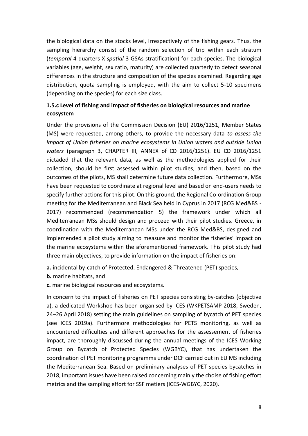the biological data on the stocks level, irrespectively of the fishing gears. Thus, the sampling hierarchy consist of the random selection of trip within each stratum (*temporal*-4 quarters X *spatial*-3 GSAs stratification) for each species. The biological variables (age, weight, sex ratio, maturity) are collected quarterly to detect seasonal differences in the structure and composition of the species examined. Regarding age distribution, quota sampling is employed, with the aim to collect 5-10 specimens (depending on the species) for each size class.

## <span id="page-8-0"></span>**1.5.c Level of fishing and impact of fisheries on biological resources and marine ecosystem**

Under the provisions of the Commission Decision (EU) 2016/1251, Member States (MS) were requested, among others, to provide the necessary data *to assess the impact of Union fisheries on marine ecosystems in Union waters and outside Union waters* (paragraph 3, CHAPTER III, ANNEX of CD 2016/1251). EU CD 2016/1251 dictaded that the relevant data, as well as the methodologies applied for their collection, should be first assessed within pilot studies, and then, based on the outcomes of the pilots, MS shall determine future data collection. Furthermore, MSs have been requested to coordinate at regional level and based on end-users needs to specify further actions for this pilot. On this ground, the Regional Co-ordination Group meeting for the Mediterranean and Black Sea held in Cyprus in 2017 (RCG Med&BS - 2017) recommended (recommendation 5) the framework under which all Mediterranean MSs should design and proceed with their pilot studies. Greece, in coordination with the Mediterranean MSs under the RCG Med&BS, designed and implemended a pilot study aiming to measure and monitor the fisheries' impact on the marine ecosystems within the aforementioned framework. This pilot study had three main objectives, to provide information on the impact of fisheries on:

**a.** incidental by-catch of Protected, Endangered & Threatened (PET) species,

**b.** marine habitats, and

**c.** marine biological resources and ecosystems.

In concern to the impact of fisheries on PET species consisting by-catches (objective a), a dedicated Workshop has been organised by ICES (WKPETSAMP 2018, Sweden, 24–26 April 2018) setting the main guidelines on sampling of bycatch of PET species (see ICES 2019a). Furthermore methodologies for PETS monitoring, as well as encountered difficulties and different approaches for the assessement of fisheries impact, are thoroughly discussed during the annual meetings of the ICES Working Group on Bycatch of Protected Species (WGBYC), that has undertaken the coordination of PET monitoring programms under DCF carried out in EU MS including the Mediterranean Sea. Based on preliminary analyses of PET species bycatches in 2018, important issues have been raised concerning mainly the choise of fishing effort metrics and the sampling effort for SSF metiers (ICES-WGBYC, 2020).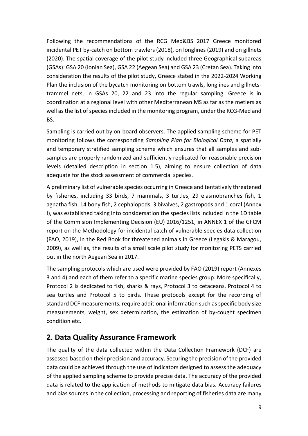Following the recommendations of the RCG Med&BS 2017 Greece monitored incidental PET by-catch on bottom trawlers (2018), on longlines (2019) and on gillnets (2020). The spatial coverage of the pilot study included three Geographical subareas (GSAs): GSA 20 (Ionian Sea), GSA 22 (Aegean Sea) and GSA 23 (Cretan Sea). Taking into consideration the results of the pilot study, Greece stated in the 2022-2024 Working Plan the inclusion of the bycatch monitoring on bottom trawls, longlines and gillnetstrammel nets, in GSAs 20, 22 and 23 into the regular sampling. Greece is in coordination at a regional level with other Mediterranean MS as far as the metiers as well as the list of species included in the monitoring program, under the RCG-Med and BS.

Sampling is carried out by on-board observers. The applied sampling scheme for PET monitoring follows the corresponding *Sampling Plan for Biological Data*, a spatially and temporary stratified sampling scheme which ensures that all samples and subsamples are properly randomized and sufficiently replicated for reasonable precision levels (detailed description in section 1.5), aiming to ensure collection of data adequate for the stock assessment of commercial species.

A preliminary list of vulnerable species occurring in Greece and tentatively threatened by fisheries, including 33 birds, 7 mammals, 3 turtles, 29 elasmobranches fish, 1 agnatha fish, 14 bony fish, 2 cephalopods, 3 bivalves, 2 gastropods and 1 coral (Annex I), was established taking into considersation the species lists included in the 1D table of the Commision Implementing Decision (EU) 2016/1251, in ANNEX 1 of the GFCM report on the Methodology for incidental catch of vulnerable species data collection (FAO, 2019), in the Red Book for threatened animals in Greece (Legakis & Maragou, 2009), as well as, the results of a small scale pilot study for monitoring PETS carried out in the north Aegean Sea in 2017.

The sampling protocols which are used were provided by FAO (2019) report (Annexes 3 and 4) and each of them refer to a specific marine species group. More specifically, Protocol 2 is dedicated to fish, sharks & rays, Protocol 3 to cetaceans, Protocol 4 to sea turtles and Protocol 5 to birds. These protocols except for the recording of standard DCF measurements, require additional information such as specific body size measurements, weight, sex determination, the estimation of by-cought specimen condition etc.

# <span id="page-9-0"></span>**2. Data Quality Assurance Framework**

The quality of the data collected within the Data Collection Framework (DCF) are assessed based on their precision and accuracy. Securing the precision of the provided data could be achieved through the use of indicators designed to assess the adequacy of the applied sampling scheme to provide precise data. The accuracy of the provided data is related to the application of methods to mitigate data bias. Accuracy failures and bias sources in the collection, processing and reporting of fisheries data are many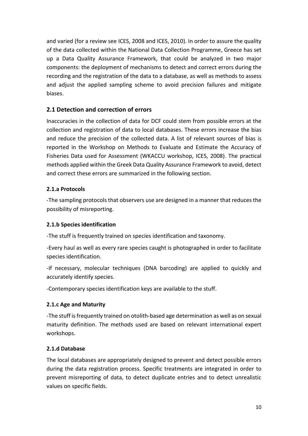and varied (for a review see ICES, 2008 and ICES, 2010). In order to assure the quality of the data collected within the National Data Collection Programme, Greece has set up a Data Quality Assurance Framework, that could be analyzed in two major components: the deployment of mechanisms to detect and correct errors during the recording and the registration of the data to a database, as well as methods to assess and adjust the applied sampling scheme to avoid precision failures and mitigate biases.

## <span id="page-10-0"></span>**2.1 Detection and correction of errors**

Inaccuracies in the collection of data for DCF could stem from possible errors at the collection and registration of data to local databases. These errors increase the bias and reduce the precision of the collected data. A list of relevant sources of bias is reported in the Workshop on Methods to Evaluate and Estimate the Accuracy of Fisheries Data used for Assessment (WKACCU workshop, ICES, 2008). The practical methods applied within the Greek Data Quality Assurance Framework to avoid, detect and correct these errors are summarized in the following section.

#### <span id="page-10-1"></span>**2.1.a Protocols**

-The sampling protocols that observers use are designed in a manner that reduces the possibility of misreporting.

#### <span id="page-10-2"></span>**2.1.b Species identification**

-The stuff is frequently trained on species identification and taxonomy.

-Every haul as well as every rare species caught is photographed in order to facilitate species identification.

-If necessary, molecular techniques (DNA barcoding) are applied to quickly and accurately identify species.

-Contemporary species identification keys are available to the stuff.

#### <span id="page-10-3"></span>**2.1.c Age and Maturity**

-The stuff is frequently trained on otolith-based age determination as well as on sexual maturity definition. The methods used are based on relevant international expert workshops.

#### <span id="page-10-4"></span>**2.1.d Database**

The local databases are appropriately designed to prevent and detect possible errors during the data registration process. Specific treatments are integrated in order to prevent misreporting of data, to detect duplicate entries and to detect unrealistic values on specific fields.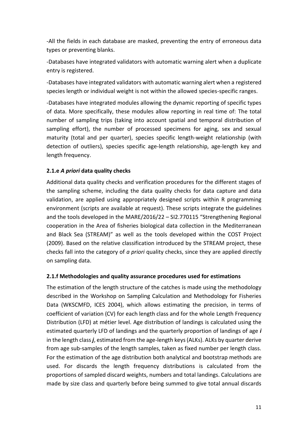-All the fields in each database are masked, preventing the entry of erroneous data types or preventing blanks.

-Databases have integrated validators with automatic warning alert when a duplicate entry is registered.

-Databases have integrated validators with automatic warning alert when a registered species length or individual weight is not within the allowed species-specific ranges.

-Databases have integrated modules allowing the dynamic reporting of specific types of data. More specifically, these modules allow reporting in real time of: The total number of sampling trips (taking into account spatial and temporal distribution of sampling effort), the number of processed specimens for aging, sex and sexual maturity (total and per quarter), species specific length-weight relationship (with detection of outliers), species specific age-length relationship, age-length key and length frequency.

#### <span id="page-11-0"></span>**2.1.e** *A priori* **data quality checks**

Additional data quality checks and verification procedures for the different stages of the sampling scheme, including the data quality checks for data capture and data validation, are applied using appropriately designed scripts within R programming environment (scripts are available at request). These scripts integrate the guidelines and the tools developed in the MARE/2016/22 – SI2.770115 "Strengthening Regional cooperation in the Area of fisheries biological data collection in the Mediterranean and Black Sea (STREAM)" as well as the tools developed within the COST Project (2009). Based on the relative classification introduced by the STREAM project, these checks fall into the category of *a priori* quality checks, since they are applied directly on sampling data.

#### <span id="page-11-1"></span>**2.1.f Methodologies and quality assurance procedures used for estimations**

The estimation of the length structure of the catches is made using the methodology described in the Workshop on Sampling Calculation and Methodology for Fisheries Data (WKSCMFD, ICES 2004), which allows estimating the precision, in terms of coefficient of variation (CV) for each length class and for the whole Length Frequency Distribution (LFD) at métier level. Age distribution of landings is calculated using the estimated quarterly LFD of landings and the quarterly proportion of landings of age *i*  in the length class *j*, estimated from the age-length keys (ALKs). ALKs by quarter derive from age sub-samples of the length samples, taken as fixed number per length class. For the estimation of the age distribution both analytical and bootstrap methods are used. For discards the length frequency distributions is calculated from the proportions of sampled discard weights, numbers and total landings. Calculations are made by size class and quarterly before being summed to give total annual discards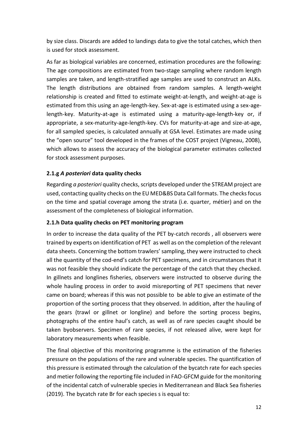by size class. Discards are added to landings data to give the total catches, which then is used for stock assessment.

As far as biological variables are concerned, estimation procedures are the following: The age compositions are estimated from two-stage sampling where random length samples are taken, and length-stratified age samples are used to construct an ALKs. The length distributions are obtained from random samples. A length-weight relationship is created and fitted to estimate weight-at-length, and weight-at-age is estimated from this using an age-length-key. Sex-at-age is estimated using a sex-agelength-key. Maturity-at-age is estimated using a maturity-age-length-key or, if appropriate, a sex-maturity-age-length-key. CVs for maturity-at-age and size-at-age, for all sampled species, is calculated annually at GSA level. Estimates are made using the "open source" tool developed in the frames of the COST project (Vigneau, 2008), which allows to assess the accuracy of the biological parameter estimates collected for stock assessment purposes.

#### <span id="page-12-0"></span>**2.1.g** *A posteriori* **data quality checks**

Regarding *a posteriori* quality checks, scripts developed under the STREAM project are used, contacting quality checks on the EU MED&BS Data Call formats. The checks focus on the time and spatial coverage among the strata (i.e. quarter, métier) and on the assessment of the completeness of biological information.

#### <span id="page-12-1"></span>**2.1.h Data quality checks on PET monitoring program**

In order to increase the data quality of the PET by-catch records , all observers were trained by experts on identification of PET as well as on the completion of the relevant data sheets. Concerning the bottom trawlers' sampling, they were instructed to check all the quantity of the cod-end's catch for PET specimens, and in circumstances that it was not feasible they should indicate the percentage of the catch that they checked. In gillnets and longlines fisheries, observers were instructed to observe during the whole hauling process in order to avoid misreporting of PET specimens that never came on board; whereas if this was not possible to be able to give an estimate of the proportion of the sorting process that they observed. In addition, after the hauling of the gears (trawl or gillnet or longline) and before the sorting process begins, photographs of the entire haul's catch, as well as of rare species caught should be taken byobservers. Specimen of rare species, if not released alive, were kept for laboratory measurements when feasible.

The final objective of this monitoring programme is the estimation of the fisheries pressure on the populations of the rare and vulnerable species. The quantification of this pressure is estimated through the calculation of the bycatch rate for each species and metier following the reporting file included in FAO-GFCM guide for the monitoring of the incidental catch of vulnerable species in Mediterranean and Black Sea fisheries (2019). The bycatch rate Br for each species s is equal to: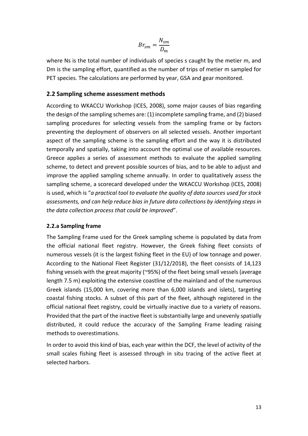$$
Br_{sm} = \frac{N_{sm}}{D_m}
$$

where Ns is the total number of individuals of species s caught by the metier m, and Dm is the sampling effort, quantified as the number of trips of metier m sampled for PET species. The calculations are performed by year, GSA and gear monitored.

#### <span id="page-13-0"></span>**2.2 Sampling scheme assessment methods**

According to WKACCU Workshop (ICES, 2008), some major causes of bias regarding the design of the sampling schemes are: (1) incomplete sampling frame, and (2) biased sampling procedures for selecting vessels from the sampling frame or by factors preventing the deployment of observers on all selected vessels. Another important aspect of the sampling scheme is the sampling effort and the way it is distributed temporally and spatially, taking into account the optimal use of available resources. Greece applies a series of assessment methods to evaluate the applied sampling scheme, to detect and prevent possible sources of bias, and to be able to adjust and improve the applied sampling scheme annually. In order to qualitatively assess the sampling scheme, a scorecard developed under the WKACCU Workshop (ICES, 2008) is used, which is "*a practical tool to evaluate the quality of data sources used for stock assessments, and can help reduce bias in future data collections by identifying steps in the data collection process that could be improved*".

#### <span id="page-13-1"></span>**2.2.a Sampling frame**

The Sampling Frame used for the Greek sampling scheme is populated by data from the official national fleet registry. However, the Greek fishing fleet consists of numerous vessels (it is the largest fishing fleet in the EU) of low tonnage and power. According to the National Fleet Register (31/12/2018), the fleet consists of 14,123 fishing vessels with the great majority (~95%) of the fleet being small vessels (average length 7.5 m) exploiting the extensive coastline of the mainland and of the numerous Greek islands (15,000 km, covering more than 6,000 islands and islets), targeting coastal fishing stocks. A subset of this part of the fleet, although registered in the official national fleet registry, could be virtually inactive due to a variety of reasons. Provided that the part of the inactive fleet is substantially large and unevenly spatially distributed, it could reduce the accuracy of the Sampling Frame leading raising methods to overestimations.

In order to avoid this kind of bias, each year within the DCF, the level of activity of the small scales fishing fleet is assessed through in situ tracing of the active fleet at selected harbors.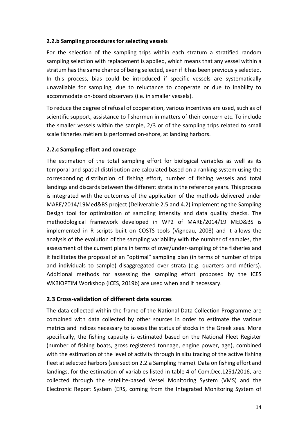#### <span id="page-14-0"></span>**2.2.b Sampling procedures for selecting vessels**

For the selection of the sampling trips within each stratum a stratified random sampling selection with replacement is applied, which means that any vessel within a stratum has the same chance of being selected, even if it has been previously selected. In this process, bias could be introduced if specific vessels are systematically unavailable for sampling, due to reluctance to cooperate or due to inability to accommodate on-board observers (i.e. in smaller vessels).

To reduce the degree of refusal of cooperation, various incentives are used, such as of scientific support, assistance to fishermen in matters of their concern etc. To include the smaller vessels within the sample, 2/3 or of the sampling trips related to small scale fisheries métiers is performed on-shore, at landing harbors.

#### <span id="page-14-1"></span>**2.2.c Sampling effort and coverage**

The estimation of the total sampling effort for biological variables as well as its temporal and spatial distribution are calculated based on a ranking system using the corresponding distribution of fishing effort, number of fishing vessels and total landings and discards between the different strata in the reference years. This process is integrated with the outcomes of the application of the methods delivered under MARE/2014/19Med&BS project (Deliverable 2.5 and 4.2) implementing the Sampling Design tool for optimization of sampling intensity and data quality checks. The methodological framework developed in WP2 of MARE/2014/19 MED&BS is implemented in R scripts built on COSTS tools (Vigneau, 2008) and it allows the analysis of the evolution of the sampling variability with the number of samples, the assessment of the current plans in terms of over/under-sampling of the fisheries and it facilitates the proposal of an "optimal" sampling plan (in terms of number of trips and individuals to sample) disaggregated over strata (e.g. quarters and métiers). Additional methods for assessing the sampling effort proposed by the ICES WKBIOPTIM Workshop (ICES, 2019b) are used when and if necessary.

#### <span id="page-14-2"></span>**2.3 Cross-validation of different data sources**

The data collected within the frame of the National Data Collection Programme are combined with data collected by other sources in order to estimate the various metrics and indices necessary to assess the status of stocks in the Greek seas. More specifically, the fishing capacity is estimated based on the National Fleet Register (number of fishing boats, gross registered tonnage, engine power, age), combined with the estimation of the level of activity through in situ tracing of the active fishing fleet at selected harbors (see section 2.2.a Sampling Frame). Data on fishing effort and landings, for the estimation of variables listed in table 4 of Com.Dec.1251/2016, are collected through the satellite-based Vessel Monitoring System (VMS) and the Electronic Report System (ERS, coming from the Integrated Monitoring System of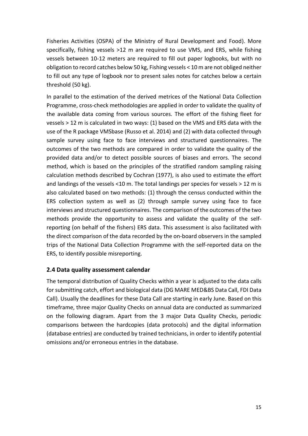Fisheries Activities (OSPA) of the Ministry of Rural Development and Food). More specifically, fishing vessels >12 m are required to use VMS, and ERS, while fishing vessels between 10-12 meters are required to fill out paper logbooks, but with no obligation to record catches below 50 kg, Fishing vessels < 10 m are not obliged neither to fill out any type of logbook nor to present sales notes for catches below a certain threshold (50 kg).

In parallel to the estimation of the derived metrices of the National Data Collection Programme, cross-check methodologies are applied in order to validate the quality of the available data coming from various sources. The effort of the fishing fleet for vessels > 12 m is calculated in two ways: (1) based on the VMS and ERS data with the use of the R package VMSbase (Russo et al. 2014) and (2) with data collected through sample survey using face to face interviews and structured questionnaires. The outcomes of the two methods are compared in order to validate the quality of the provided data and/or to detect possible sources of biases and errors. The second method, which is based on the principles of the stratified random sampling raising calculation methods described by Cochran (1977), is also used to estimate the effort and landings of the vessels <10 m. The total landings per species for vessels > 12 m is also calculated based on two methods: (1) through the census conducted within the ERS collection system as well as (2) through sample survey using face to face interviews and structured questionnaires. The comparison of the outcomes of the two methods provide the opportunity to assess and validate the quality of the selfreporting (on behalf of the fishers) ERS data. This assessment is also facilitated with the direct comparison of the data recorded by the on-board observers in the sampled trips of the National Data Collection Programme with the self-reported data on the ERS, to identify possible misreporting.

#### <span id="page-15-0"></span>**2.4 Data quality assessment calendar**

The temporal distribution of Quality Checks within a year is adjusted to the data calls for submitting catch, effort and biological data (DG MARE MED&BS Data Call, FDI Data Call). Usually the deadlines for these Data Call are starting in early June. Based on this timeframe, three major Quality Checks on annual data are conducted as summarized on the following diagram. Apart from the 3 major Data Quality Checks, periodic comparisons between the hardcopies (data protocols) and the digital information (database entries) are conducted by trained technicians, in order to identify potential omissions and/or erroneous entries in the database.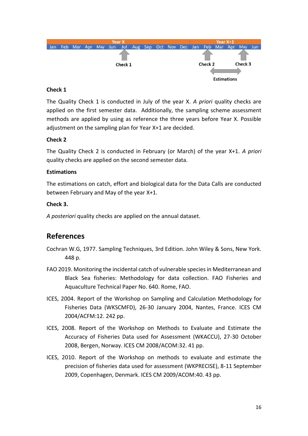

#### **Check 1**

The Quality Check 1 is conducted in July of the year X. *A priori* quality checks are applied on the first semester data. Additionally, the sampling scheme assessment methods are applied by using as reference the three years before Year X. Possible adjustment on the sampling plan for Year X+1 are decided.

#### **Check 2**

The Quality Check 2 is conducted in February (or March) of the year X+1. *A priori* quality checks are applied on the second semester data.

#### **Estimations**

The estimations on catch, effort and biological data for the Data Calls are conducted between February and May of the year X+1.

#### **Check 3.**

*A posteriori* quality checks are applied on the annual dataset.

# <span id="page-16-0"></span>**References**

- Cochran W.G, 1977. Sampling Techniques, 3rd Edition. John Wiley & Sons, New York. 448 p.
- FAO 2019. Monitoring the incidental catch of vulnerable species in Mediterranean and Black Sea fisheries: Methodology for data collection. FAO Fisheries and Aquaculture Technical Paper No. 640. Rome, FAO.
- ICES, 2004. Report of the Workshop on Sampling and Calculation Methodology for Fisheries Data (WKSCMFD), 26-30 January 2004, Nantes, France. ICES CM 2004/ACFM:12. 242 pp.
- ICES, 2008. Report of the Workshop on Methods to Evaluate and Estimate the Accuracy of Fisheries Data used for Assessment (WKACCU), 27-30 October 2008, Bergen, Norway. ICES CM 2008/ACOM:32. 41 pp.
- ICES, 2010. Report of the Workshop on methods to evaluate and estimate the precision of fisheries data used for assessment (WKPRECISE), 8-11 September 2009, Copenhagen, Denmark. ICES CM 2009/ACOM:40. 43 pp.